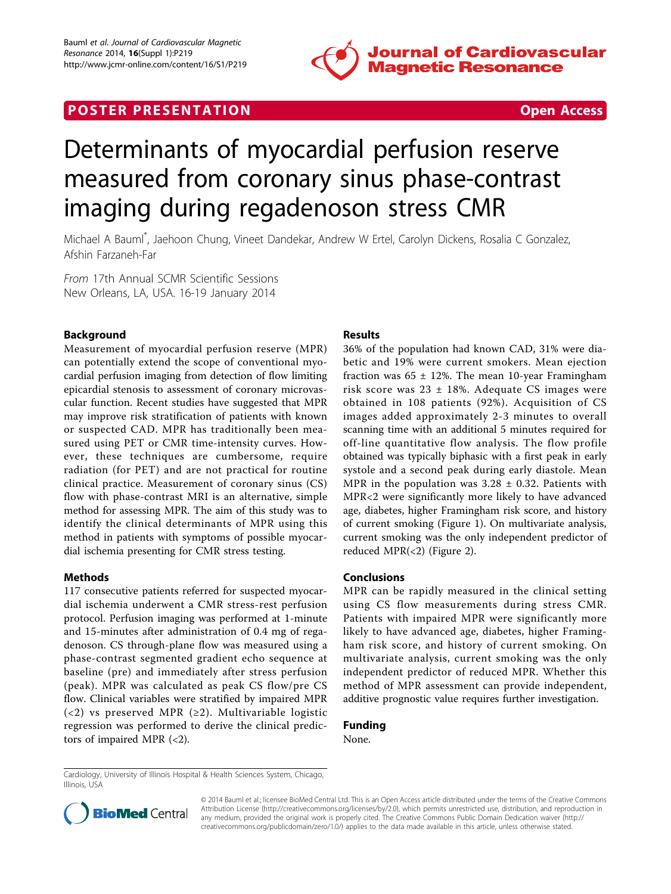

## **POSTER PRESENTATION CONSUMING THE SECOND CONSUMING THE SECOND CONSUMING THE SECOND CONSUMING THE SECOND CONSUMING THE SECOND CONSUMING THE SECOND CONSUMING THE SECOND CONSUMING THE SECOND CONSUMING THE SECOND CONSUMING**



# Determinants of myocardial perfusion reserve measured from coronary sinus phase-contrast imaging during regadenoson stress CMR

Michael A Bauml\* , Jaehoon Chung, Vineet Dandekar, Andrew W Ertel, Carolyn Dickens, Rosalia C Gonzalez, Afshin Farzaneh-Far

From 17th Annual SCMR Scientific Sessions New Orleans, LA, USA. 16-19 January 2014

### Background

Measurement of myocardial perfusion reserve (MPR) can potentially extend the scope of conventional myocardial perfusion imaging from detection of flow limiting epicardial stenosis to assessment of coronary microvascular function. Recent studies have suggested that MPR may improve risk stratification of patients with known or suspected CAD. MPR has traditionally been measured using PET or CMR time-intensity curves. However, these techniques are cumbersome, require radiation (for PET) and are not practical for routine clinical practice. Measurement of coronary sinus (CS) flow with phase-contrast MRI is an alternative, simple method for assessing MPR. The aim of this study was to identify the clinical determinants of MPR using this method in patients with symptoms of possible myocardial ischemia presenting for CMR stress testing.

#### Methods

117 consecutive patients referred for suspected myocardial ischemia underwent a CMR stress-rest perfusion protocol. Perfusion imaging was performed at 1-minute and 15-minutes after administration of 0.4 mg of regadenoson. CS through-plane flow was measured using a phase-contrast segmented gradient echo sequence at baseline (pre) and immediately after stress perfusion (peak). MPR was calculated as peak CS flow/pre CS flow. Clinical variables were stratified by impaired MPR (<2) vs preserved MPR (≥2). Multivariable logistic regression was performed to derive the clinical predictors of impaired MPR (<2).

#### Results

36% of the population had known CAD, 31% were diabetic and 19% were current smokers. Mean ejection fraction was  $65 \pm 12\%$ . The mean 10-year Framingham risk score was  $23 \pm 18\%$ . Adequate CS images were obtained in 108 patients (92%). Acquisition of CS images added approximately 2-3 minutes to overall scanning time with an additional 5 minutes required for off-line quantitative flow analysis. The flow profile obtained was typically biphasic with a first peak in early systole and a second peak during early diastole. Mean MPR in the population was  $3.28 \pm 0.32$ . Patients with MPR<2 were significantly more likely to have advanced age, diabetes, higher Framingham risk score, and history of current smoking (Figure [1](#page-1-0)). On multivariate analysis, current smoking was the only independent predictor of reduced MPR(<2) (Figure [2\)](#page-1-0).

#### Conclusions

MPR can be rapidly measured in the clinical setting using CS flow measurements during stress CMR. Patients with impaired MPR were significantly more likely to have advanced age, diabetes, higher Framingham risk score, and history of current smoking. On multivariate analysis, current smoking was the only independent predictor of reduced MPR. Whether this method of MPR assessment can provide independent, additive prognostic value requires further investigation.

## Funding

None.

Cardiology, University of Illinois Hospital & Health Sciences System, Chicago, Illinois, USA



© 2014 Bauml et al.; licensee BioMed Central Ltd. This is an Open Access article distributed under the terms of the Creative Commons Attribution License [\(http://creativecommons.org/licenses/by/2.0](http://creativecommons.org/licenses/by/2.0)), which permits unrestricted use, distribution, and reproduction in any medium, provided the original work is properly cited. The Creative Commons Public Domain Dedication waiver [\(http://](http://creativecommons.org/publicdomain/zero/1.0/) [creativecommons.org/publicdomain/zero/1.0/](http://creativecommons.org/publicdomain/zero/1.0/)) applies to the data made available in this article, unless otherwise stated.